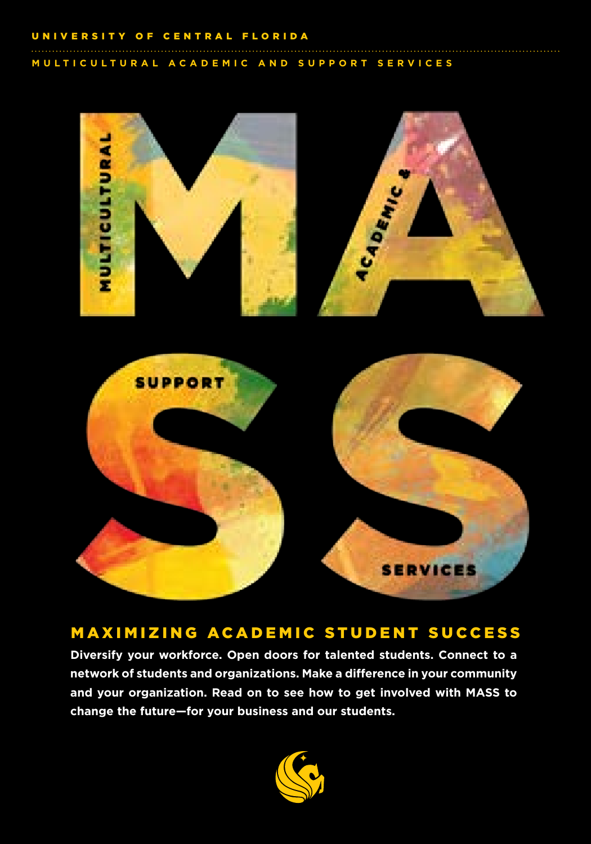#### UNIVERSITY OF CENTRAL FLORIDA

MULTICULTURAL ACADEMIC AND SUPPORT SERVICES





### MAXIMIZING ACADEMIC STUDENT SUCCESS

Diversify your workforce. Open doors for talented students. Connect to a network of students and organizations. Make a difference in your community and your organization. Read on to see how to get involved with MASS to change the future-for your business and our students.

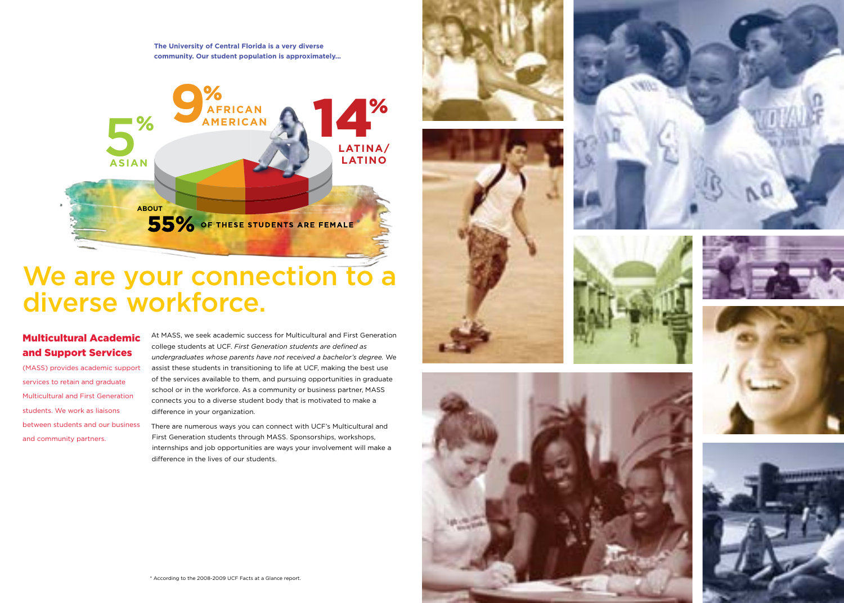**The University of Central Florida is a very diverse community. Our student population is approximately...**



# We are your connection to a diverse workforce.

### Multicultural Academic and Support Services

(MASS) provides academic support services to retain and graduate Multicultural and First Generation students. We work as liaisons between students and our business and community partners.

At MASS, we seek academic success for Multicultural and First Generation college students at UCF. *First Generation students are defined as undergraduates whose parents have not received a bachelor's degree.* We assist these students in transitioning to life at UCF, making the best use of the services available to them, and pursuing opportunities in graduate school or in the workforce. As a community or business partner, MASS connects you to a diverse student body that is motivated to make a difference in your organization.

There are numerous ways you can connect with UCF's Multicultural and First Generation students through MASS. Sponsorships, workshops, internships and job opportunities are ways your involvement will make a difference in the lives of our students.















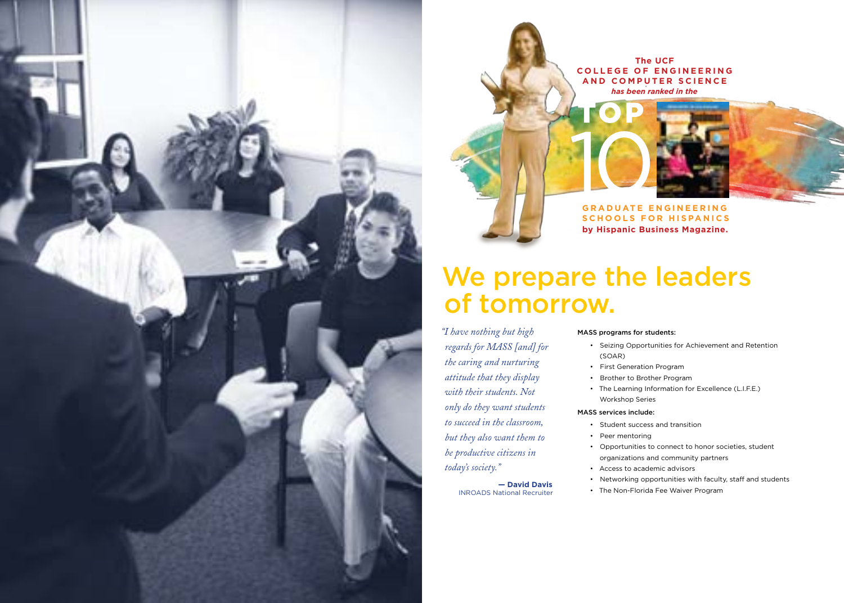

**The UCF C ollege o f E ngineering and C o m puter Science** *has been ranked in the*

**by Hispanic Business Magazine. GRADUATE ENGINEERING s c h ool s f or Hi s panic s**

# We prepare the leaders of tomorrow.

*"I have nothing but high regards for MASS [and] for the caring and nurturing attitude that they display with their students. Not only do they want students to succeed in the classroom, but they also want them to be productive citizens in today's society."*

> **— David Davis** INROADS National Recruiter

#### MASS programs for students:

- Seizing Opportunities for Achievement and Retention (SOAR)
- First Generation Program
- Brother to Brother Program
- The Learning Information for Excellence (L.I.F.E.) Workshop Series

#### MASS services include:

- Student success and transition
- Peer mentoring
- Opportunities to connect to honor societies, student organizations and community partners
- Access to academic advisors
- Networking opportunities with faculty, staff and students
- The Non-Florida Fee Waiver Program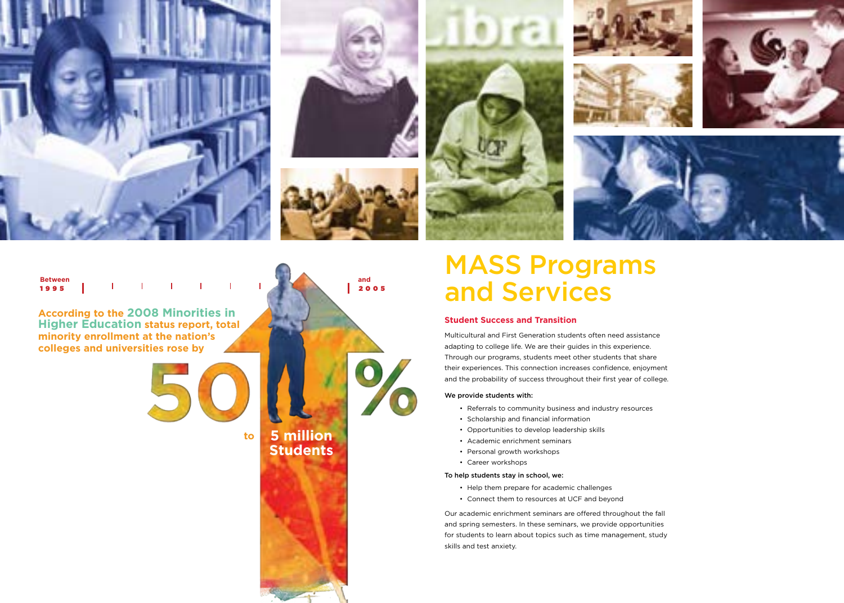

**According to the 2008 Minorities in Higher Education status report, total minority enrollment at the nation's colleges and universities rose by** 





## **5 million Students**

# MASS Programs and Services

#### **Student Success and Transition**

Multicultural and First Generation students often need assistance adapting to college life. We are their guides in this experience. Through our programs, students meet other students that share their experiences. This connection increases confidence, enjoyment and the probability of success throughout their first year of college.

#### We provide students with:

- Referrals to community business and industry resources
- Scholarship and financial information
- Opportunities to develop leadership skills
- Academic enrichment seminars
- Personal growth workshops
- Career workshops

#### To help students stay in school, we:

- Help them prepare for academic challenges
- Connect them to resources at UCF and beyond

Our academic enrichment seminars are offered throughout the fall and spring semesters. In these seminars, we provide opportunities for students to learn about topics such as time management, study skills and test anxiety.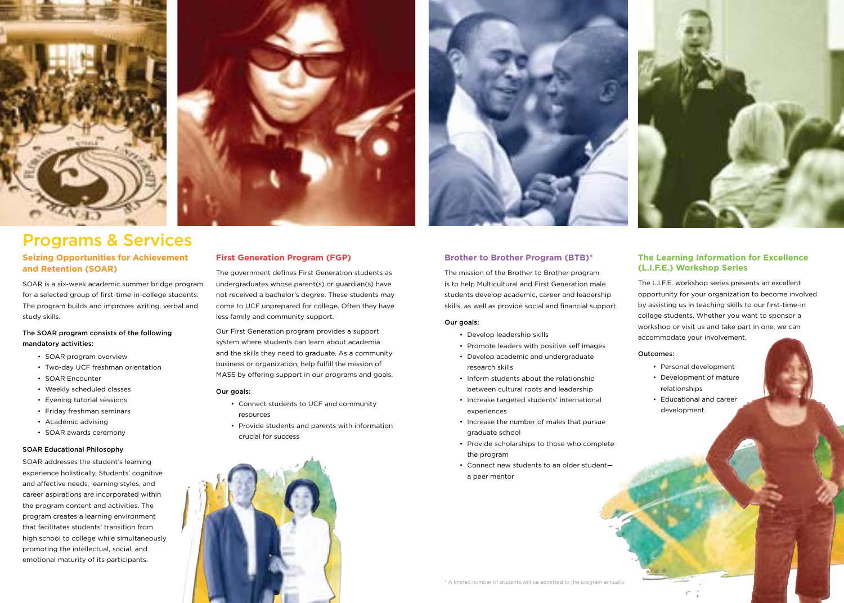

# Programs & Services

#### **Seizing Opportunities for Achievement and Retention (SOAR)**

SOAR is a six-week academic summer bridge program for a selected group of first-time-in-college students. The program builds and improves writing, verbal and study skills.

#### The SOAR program consists of the following mandatory activities:

- SOAR program overview
- Two-day UCF freshman orientation
- SOAR Encounter
- Weekly scheduled classes
- Evening tutorial sessions
- Friday freshman seminars
- Academic advising
- SOAR awards ceremony

#### SOAR Educational Philosophy

SOAR addresses the student's learning experience holistically. Students' cognitive and affective needs, learning styles, and career aspirations are incorporated within the program content and activities. The program creates a learning environment that facilitates students' transition from high school to college while simultaneously promoting the intellectual, social, and emotional maturity of its participants.



The government defines First Generation students as undergraduates whose parent(s) or guardian(s) have not received a bachelor's degree. These students may come to UCF unprepared for college. Often they have less family and community support.

Our First Generation program provides a support system where students can learn about academia and the skills they need to graduate. As a community business or organization, help fulfill the mission of MASS by offering support in our programs and goals.

#### Our goals:

- Connect students to UCF and community resources
- Provide students and parents with information crucial for success



#### **Brother to Brother Program (BTB)\***

The mission of the Brother to Brother program is to help Multicultural and First Generation male students develop academic, career and leadership skills, as well as provide social and financial support.

#### Our goals:

- Develop leadership skills
- Promote leaders with positive self images
- Develop academic and undergraduate research skills
- Inform students about the relationship between cultural roots and leadership
- Increase targeted students' international experiences
- Increase the number of males that pursue graduate school
- Provide scholarships to those who complete the program
- Connect new students to an older student a peer mentor



The L.I.F.E. workshop series presents an excellent opportunity for your organization to become involved by assisting us in teaching skills to our first-time-in college students. Whether you want to sponsor a workshop or visit us and take part in one, we can accommodate your involvement.

#### Outcomes:

- Personal development
- Development of mature relationships
- Educational and career development

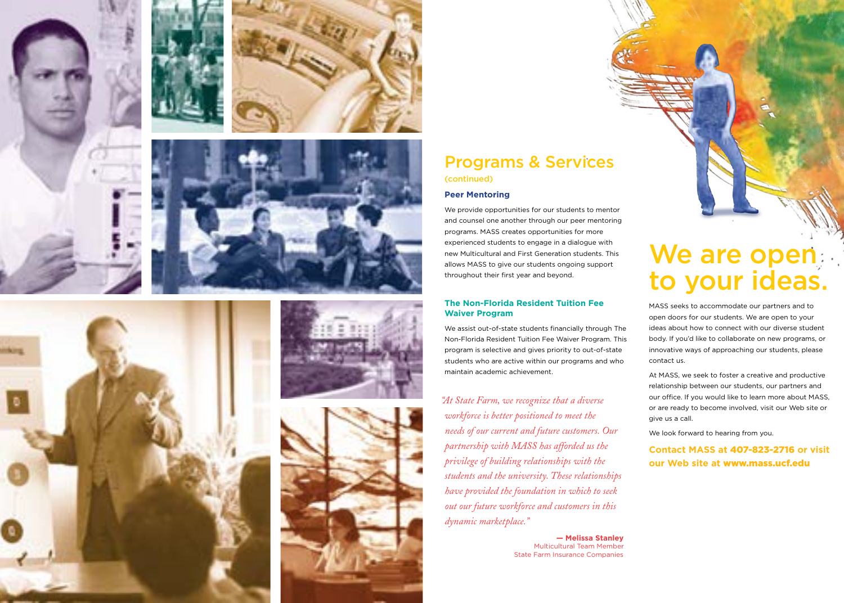













## Programs & Services (continued)

#### **Peer Mentoring**

We provide opportunities for our students to mentor and counsel one another through our peer mentoring programs. MASS creates opportunities for more experienced students to engage in a dialogue with new Multicultural and First Generation students. This allows MASS to give our students ongoing support throughout their first year and beyond.

#### **The Non-Florida Resident Tuition Fee Waiver Program**

We assist out-of-state students financially through The Non-Florida Resident Tuition Fee Waiver Program. This program is selective and gives priority to out-of-state students who are active within our programs and who maintain academic achievement.

*"At State Farm, we recognize that a diverse workforce is better positioned to meet the needs of our current and future customers. Our partnership with MASS has afforded us the privilege of building relationships with the students and the university. These relationships have provided the foundation in which to seek out our future workforce and customers in this dynamic marketplace."*

> **— Melissa Stanley** Multicultural Team Member State Farm Insurance Companies

# We are open to your ideas.

MASS seeks to accommodate our partners and to open doors for our students. We are open to your ideas about how to connect with our diverse student body. If you'd like to collaborate on new programs, or innovative ways of approaching our students, please contact us.

At MASS, we seek to foster a creative and productive relationship between our students, our partners and our office. If you would like to learn more about MASS, or are ready to become involved, visit our Web site or give us a call.

We look forward to hearing from you.

### **Contact MASS at** 407-823-2716 **or visit our Web site at** www.mass.ucf.edu